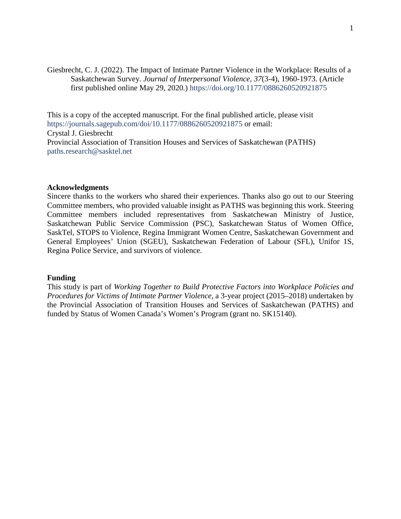Giesbrecht, C. J. (2022). The Impact of Intimate Partner Violence in the Workplace: Results of a Saskatchewan Survey. *Journal of Interpersonal Violence, 37*(3-4), 1960-1973. (Article first published online May 29, 2020*.*) <https://doi.org/10.1177/0886260520921875>

This is a copy of the accepted manuscript. For the final published article, please visit <https://journals.sagepub.com/doi/10.1177/0886260520921875> or email: Crystal J. Giesbrecht Provincial Association of Transition Houses and Services of Saskatchewan (PATHS) [paths.research@sasktel.net](mailto:paths.research@sasktel.net)

# **Acknowledgments**

Sincere thanks to the workers who shared their experiences. Thanks also go out to our Steering Committee members, who provided valuable insight as PATHS was beginning this work. Steering Committee members included representatives from Saskatchewan Ministry of Justice, Saskatchewan Public Service Commission (PSC), Saskatchewan Status of Women Office, SaskTel, STOPS to Violence, Regina Immigrant Women Centre, Saskatchewan Government and General Employees' Union (SGEU), Saskatchewan Federation of Labour (SFL), Unifor 1S, Regina Police Service, and survivors of violence.

## **Funding**

This study is part of *Working Together to Build Protective Factors into Workplace Policies and Procedures for Victims of Intimate Partner Violence*, a 3-year project (2015–2018) undertaken by the Provincial Association of Transition Houses and Services of Saskatchewan (PATHS) and funded by Status of Women Canada's Women's Program (grant no. SK15140).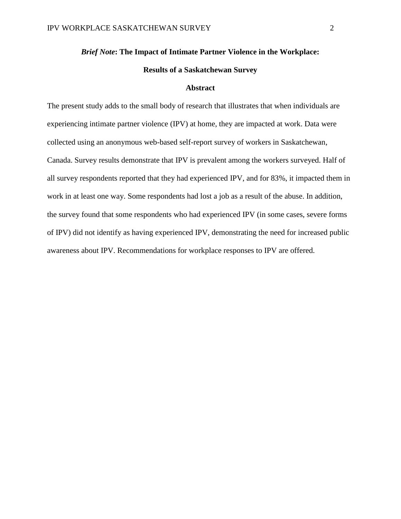# *Brief Note***: The Impact of Intimate Partner Violence in the Workplace: Results of a Saskatchewan Survey**

#### **Abstract**

The present study adds to the small body of research that illustrates that when individuals are experiencing intimate partner violence (IPV) at home, they are impacted at work. Data were collected using an anonymous web-based self-report survey of workers in Saskatchewan, Canada. Survey results demonstrate that IPV is prevalent among the workers surveyed. Half of all survey respondents reported that they had experienced IPV, and for 83%, it impacted them in work in at least one way. Some respondents had lost a job as a result of the abuse. In addition, the survey found that some respondents who had experienced IPV (in some cases, severe forms of IPV) did not identify as having experienced IPV, demonstrating the need for increased public awareness about IPV. Recommendations for workplace responses to IPV are offered.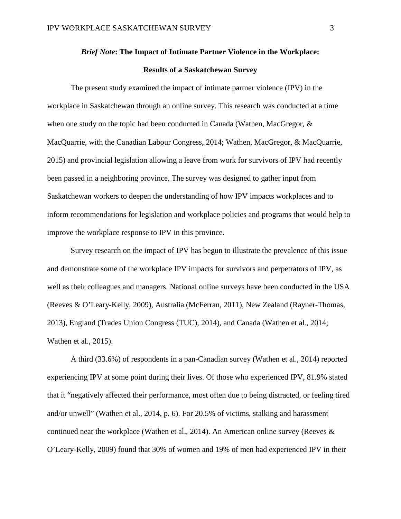# *Brief Note***: The Impact of Intimate Partner Violence in the Workplace: Results of a Saskatchewan Survey**

The present study examined the impact of intimate partner violence (IPV) in the workplace in Saskatchewan through an online survey. This research was conducted at a time when one study on the topic had been conducted in Canada (Wathen, MacGregor, & MacQuarrie, with the Canadian Labour Congress, 2014; Wathen, MacGregor, & MacQuarrie, 2015) and provincial legislation allowing a leave from work for survivors of IPV had recently been passed in a neighboring province. The survey was designed to gather input from Saskatchewan workers to deepen the understanding of how IPV impacts workplaces and to inform recommendations for legislation and workplace policies and programs that would help to improve the workplace response to IPV in this province.

Survey research on the impact of IPV has begun to illustrate the prevalence of this issue and demonstrate some of the workplace IPV impacts for survivors and perpetrators of IPV, as well as their colleagues and managers. National online surveys have been conducted in the USA (Reeves & O'Leary-Kelly, 2009), Australia (McFerran, 2011), New Zealand (Rayner-Thomas, 2013), England (Trades Union Congress (TUC), 2014), and Canada (Wathen et al., 2014; Wathen et al., 2015).

A third (33.6%) of respondents in a pan-Canadian survey (Wathen et al., 2014) reported experiencing IPV at some point during their lives. Of those who experienced IPV, 81.9% stated that it "negatively affected their performance, most often due to being distracted, or feeling tired and/or unwell" (Wathen et al., 2014, p. 6). For 20.5% of victims, stalking and harassment continued near the workplace (Wathen et al., 2014). An American online survey (Reeves & O'Leary-Kelly, 2009) found that 30% of women and 19% of men had experienced IPV in their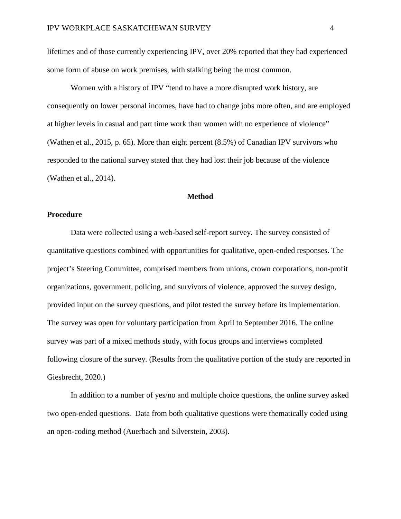lifetimes and of those currently experiencing IPV, over 20% reported that they had experienced some form of abuse on work premises, with stalking being the most common.

Women with a history of IPV "tend to have a more disrupted work history, are consequently on lower personal incomes, have had to change jobs more often, and are employed at higher levels in casual and part time work than women with no experience of violence" (Wathen et al., 2015, p. 65). More than eight percent (8.5%) of Canadian IPV survivors who responded to the national survey stated that they had lost their job because of the violence (Wathen et al., 2014).

## **Method**

### **Procedure**

Data were collected using a web-based self-report survey. The survey consisted of quantitative questions combined with opportunities for qualitative, open-ended responses. The project's Steering Committee, comprised members from unions, crown corporations, non-profit organizations, government, policing, and survivors of violence, approved the survey design, provided input on the survey questions, and pilot tested the survey before its implementation. The survey was open for voluntary participation from April to September 2016. The online survey was part of a mixed methods study, with focus groups and interviews completed following closure of the survey. (Results from the qualitative portion of the study are reported in Giesbrecht, 2020*.*)

In addition to a number of yes/no and multiple choice questions, the online survey asked two open-ended questions. Data from both qualitative questions were thematically coded using an open-coding method (Auerbach and Silverstein, 2003).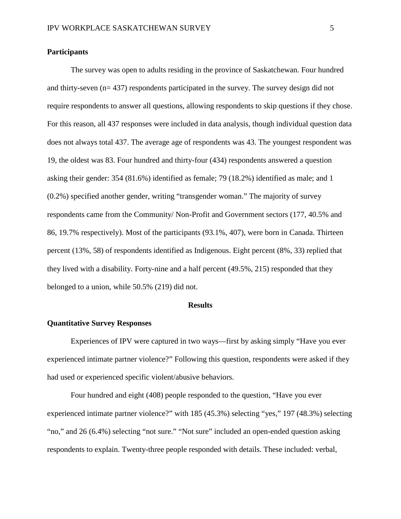# **Participants**

The survey was open to adults residing in the province of Saskatchewan. Four hundred and thirty-seven (n= 437) respondents participated in the survey. The survey design did not require respondents to answer all questions, allowing respondents to skip questions if they chose. For this reason, all 437 responses were included in data analysis, though individual question data does not always total 437. The average age of respondents was 43. The youngest respondent was 19, the oldest was 83. Four hundred and thirty-four (434) respondents answered a question asking their gender: 354 (81.6%) identified as female; 79 (18.2%) identified as male; and 1 (0.2%) specified another gender, writing "transgender woman." The majority of survey respondents came from the Community/ Non-Profit and Government sectors (177, 40.5% and 86, 19.7% respectively). Most of the participants (93.1%, 407), were born in Canada. Thirteen percent (13%, 58) of respondents identified as Indigenous. Eight percent (8%, 33) replied that they lived with a disability. Forty-nine and a half percent (49.5%, 215) responded that they belonged to a union, while 50.5% (219) did not.

#### **Results**

# **Quantitative Survey Responses**

Experiences of IPV were captured in two ways—first by asking simply "Have you ever experienced intimate partner violence?" Following this question, respondents were asked if they had used or experienced specific violent/abusive behaviors.

Four hundred and eight (408) people responded to the question, "Have you ever experienced intimate partner violence?" with 185 (45.3%) selecting "yes," 197 (48.3%) selecting "no," and 26 (6.4%) selecting "not sure." "Not sure" included an open-ended question asking respondents to explain. Twenty-three people responded with details. These included: verbal,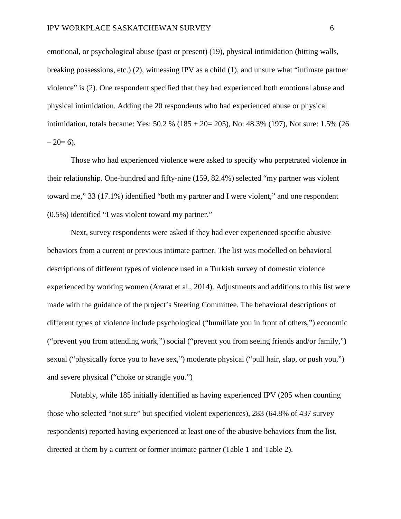emotional, or psychological abuse (past or present) (19), physical intimidation (hitting walls, breaking possessions, etc.) (2), witnessing IPV as a child (1), and unsure what "intimate partner violence" is (2). One respondent specified that they had experienced both emotional abuse and physical intimidation. Adding the 20 respondents who had experienced abuse or physical intimidation, totals became: Yes: 50.2 % (185 + 20= 205), No: 48.3% (197), Not sure: 1.5% (26  $-20=6$ ).

Those who had experienced violence were asked to specify who perpetrated violence in their relationship. One-hundred and fifty-nine (159, 82.4%) selected "my partner was violent toward me," 33 (17.1%) identified "both my partner and I were violent," and one respondent (0.5%) identified "I was violent toward my partner."

Next, survey respondents were asked if they had ever experienced specific abusive behaviors from a current or previous intimate partner. The list was modelled on behavioral descriptions of different types of violence used in a Turkish survey of domestic violence experienced by working women (Ararat et al., 2014). Adjustments and additions to this list were made with the guidance of the project's Steering Committee. The behavioral descriptions of different types of violence include psychological ("humiliate you in front of others,") economic ("prevent you from attending work,") social ("prevent you from seeing friends and/or family,") sexual ("physically force you to have sex,") moderate physical ("pull hair, slap, or push you,") and severe physical ("choke or strangle you.")

Notably, while 185 initially identified as having experienced IPV (205 when counting those who selected "not sure" but specified violent experiences), 283 (64.8% of 437 survey respondents) reported having experienced at least one of the abusive behaviors from the list, directed at them by a current or former intimate partner (Table 1 and Table 2).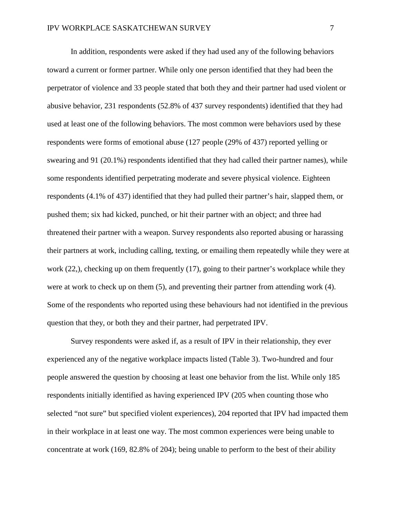In addition, respondents were asked if they had used any of the following behaviors toward a current or former partner. While only one person identified that they had been the perpetrator of violence and 33 people stated that both they and their partner had used violent or abusive behavior, 231 respondents (52.8% of 437 survey respondents) identified that they had used at least one of the following behaviors. The most common were behaviors used by these respondents were forms of emotional abuse (127 people (29% of 437) reported yelling or swearing and 91 (20.1%) respondents identified that they had called their partner names), while some respondents identified perpetrating moderate and severe physical violence. Eighteen respondents (4.1% of 437) identified that they had pulled their partner's hair, slapped them, or pushed them; six had kicked, punched, or hit their partner with an object; and three had threatened their partner with a weapon. Survey respondents also reported abusing or harassing their partners at work, including calling, texting, or emailing them repeatedly while they were at work (22,), checking up on them frequently (17), going to their partner's workplace while they were at work to check up on them (5), and preventing their partner from attending work (4). Some of the respondents who reported using these behaviours had not identified in the previous question that they, or both they and their partner, had perpetrated IPV.

Survey respondents were asked if, as a result of IPV in their relationship, they ever experienced any of the negative workplace impacts listed (Table 3). Two-hundred and four people answered the question by choosing at least one behavior from the list. While only 185 respondents initially identified as having experienced IPV (205 when counting those who selected "not sure" but specified violent experiences), 204 reported that IPV had impacted them in their workplace in at least one way. The most common experiences were being unable to concentrate at work (169, 82.8% of 204); being unable to perform to the best of their ability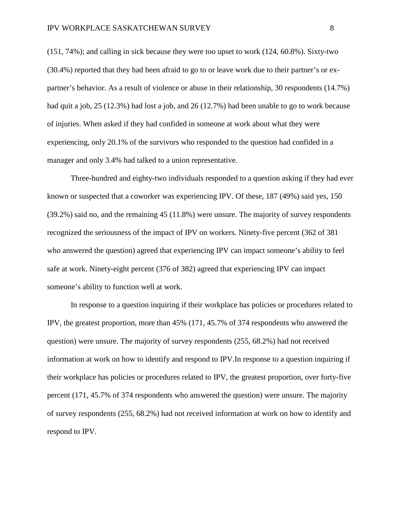(151, 74%); and calling in sick because they were too upset to work (124, 60.8%). Sixty-two (30.4%) reported that they had been afraid to go to or leave work due to their partner's or expartner's behavior. As a result of violence or abuse in their relationship, 30 respondents (14.7%) had quit a job, 25 (12.3%) had lost a job, and 26 (12.7%) had been unable to go to work because of injuries. When asked if they had confided in someone at work about what they were experiencing, only 20.1% of the survivors who responded to the question had confided in a manager and only 3.4% had talked to a union representative.

Three-hundred and eighty-two individuals responded to a question asking if they had ever known or suspected that a coworker was experiencing IPV. Of these, 187 (49%) said yes, 150 (39.2%) said no, and the remaining 45 (11.8%) were unsure. The majority of survey respondents recognized the seriousness of the impact of IPV on workers. Ninety-five percent (362 of 381 who answered the question) agreed that experiencing IPV can impact someone's ability to feel safe at work. Ninety-eight percent (376 of 382) agreed that experiencing IPV can impact someone's ability to function well at work.

In response to a question inquiring if their workplace has policies or procedures related to IPV, the greatest proportion, more than 45% (171, 45.7% of 374 respondents who answered the question) were unsure. The majority of survey respondents (255, 68.2%) had not received information at work on how to identify and respond to IPV.In response to a question inquiring if their workplace has policies or procedures related to IPV, the greatest proportion, over forty-five percent (171, 45.7% of 374 respondents who answered the question) were unsure. The majority of survey respondents (255, 68.2%) had not received information at work on how to identify and respond to IPV.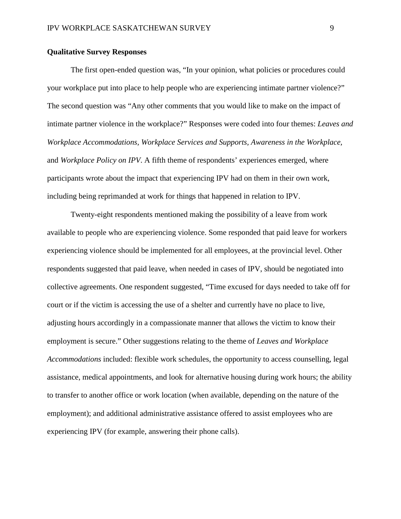# **Qualitative Survey Responses**

The first open-ended question was, "In your opinion, what policies or procedures could your workplace put into place to help people who are experiencing intimate partner violence?" The second question was "Any other comments that you would like to make on the impact of intimate partner violence in the workplace?" Responses were coded into four themes: *Leaves and Workplace Accommodations, Workplace Services and Supports, Awareness in the Workplace,*  and *Workplace Policy on IPV*. A fifth theme of respondents' experiences emerged, where participants wrote about the impact that experiencing IPV had on them in their own work, including being reprimanded at work for things that happened in relation to IPV.

Twenty-eight respondents mentioned making the possibility of a leave from work available to people who are experiencing violence. Some responded that paid leave for workers experiencing violence should be implemented for all employees, at the provincial level. Other respondents suggested that paid leave, when needed in cases of IPV, should be negotiated into collective agreements. One respondent suggested, "Time excused for days needed to take off for court or if the victim is accessing the use of a shelter and currently have no place to live, adjusting hours accordingly in a compassionate manner that allows the victim to know their employment is secure." Other suggestions relating to the theme of *Leaves and Workplace Accommodations* included: flexible work schedules, the opportunity to access counselling, legal assistance, medical appointments, and look for alternative housing during work hours; the ability to transfer to another office or work location (when available, depending on the nature of the employment); and additional administrative assistance offered to assist employees who are experiencing IPV (for example, answering their phone calls).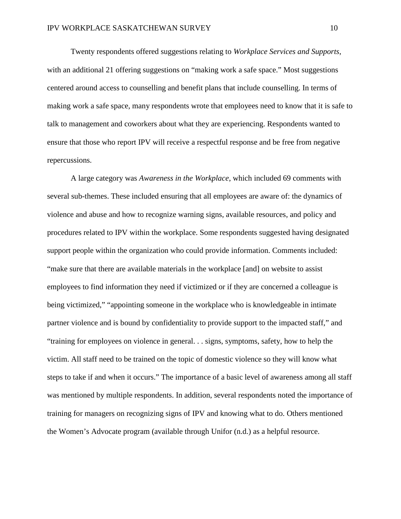Twenty respondents offered suggestions relating to *Workplace Services and Supports*, with an additional 21 offering suggestions on "making work a safe space." Most suggestions centered around access to counselling and benefit plans that include counselling. In terms of making work a safe space, many respondents wrote that employees need to know that it is safe to talk to management and coworkers about what they are experiencing. Respondents wanted to ensure that those who report IPV will receive a respectful response and be free from negative repercussions.

A large category was *Awareness in the Workplace*, which included 69 comments with several sub-themes. These included ensuring that all employees are aware of: the dynamics of violence and abuse and how to recognize warning signs, available resources, and policy and procedures related to IPV within the workplace. Some respondents suggested having designated support people within the organization who could provide information. Comments included: "make sure that there are available materials in the workplace [and] on website to assist employees to find information they need if victimized or if they are concerned a colleague is being victimized," "appointing someone in the workplace who is knowledgeable in intimate partner violence and is bound by confidentiality to provide support to the impacted staff," and "training for employees on violence in general. . . signs, symptoms, safety, how to help the victim. All staff need to be trained on the topic of domestic violence so they will know what steps to take if and when it occurs." The importance of a basic level of awareness among all staff was mentioned by multiple respondents. In addition, several respondents noted the importance of training for managers on recognizing signs of IPV and knowing what to do. Others mentioned the Women's Advocate program (available through Unifor (n.d.) as a helpful resource.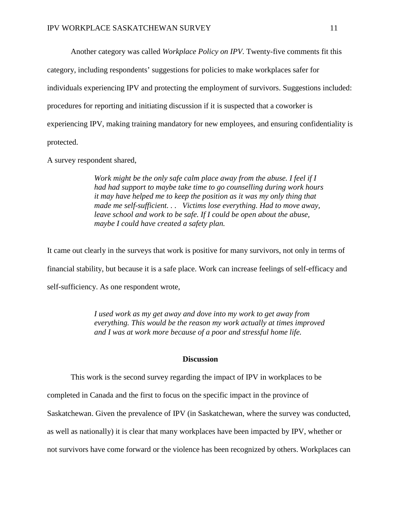Another category was called *Workplace Policy on IPV*. Twenty-five comments fit this

category, including respondents' suggestions for policies to make workplaces safer for

individuals experiencing IPV and protecting the employment of survivors. Suggestions included:

procedures for reporting and initiating discussion if it is suspected that a coworker is

experiencing IPV, making training mandatory for new employees, and ensuring confidentiality is

protected.

A survey respondent shared,

*Work might be the only safe calm place away from the abuse. I feel if I had had support to maybe take time to go counselling during work hours it may have helped me to keep the position as it was my only thing that made me self-sufficient. . . Victims lose everything. Had to move away, leave school and work to be safe. If I could be open about the abuse, maybe I could have created a safety plan.* 

It came out clearly in the surveys that work is positive for many survivors, not only in terms of financial stability, but because it is a safe place. Work can increase feelings of self-efficacy and self-sufficiency. As one respondent wrote,

> *I used work as my get away and dove into my work to get away from everything. This would be the reason my work actually at times improved and I was at work more because of a poor and stressful home life.*

## **Discussion**

This work is the second survey regarding the impact of IPV in workplaces to be

completed in Canada and the first to focus on the specific impact in the province of

Saskatchewan. Given the prevalence of IPV (in Saskatchewan, where the survey was conducted,

as well as nationally) it is clear that many workplaces have been impacted by IPV, whether or

not survivors have come forward or the violence has been recognized by others. Workplaces can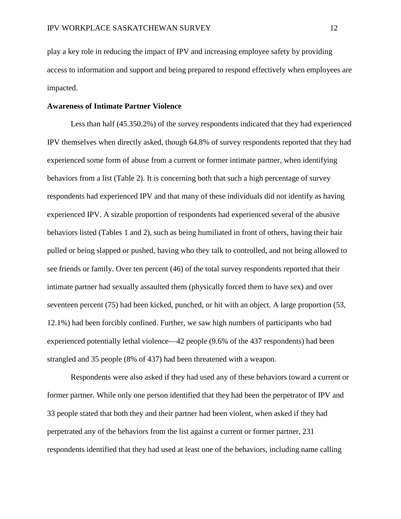play a key role in reducing the impact of IPV and increasing employee safety by providing access to information and support and being prepared to respond effectively when employees are impacted.

# **Awareness of Intimate Partner Violence**

Less than half (45.350.2%) of the survey respondents indicated that they had experienced IPV themselves when directly asked, though 64.8% of survey respondents reported that they had experienced some form of abuse from a current or former intimate partner, when identifying behaviors from a list (Table 2). It is concerning both that such a high percentage of survey respondents had experienced IPV and that many of these individuals did not identify as having experienced IPV. A sizable proportion of respondents had experienced several of the abusive behaviors listed (Tables 1 and 2), such as being humiliated in front of others, having their hair pulled or being slapped or pushed, having who they talk to controlled, and not being allowed to see friends or family. Over ten percent (46) of the total survey respondents reported that their intimate partner had sexually assaulted them (physically forced them to have sex) and over seventeen percent (75) had been kicked, punched, or hit with an object. A large proportion (53, 12.1%) had been forcibly confined. Further, we saw high numbers of participants who had experienced potentially lethal violence—42 people (9.6% of the 437 respondents) had been strangled and 35 people (8% of 437) had been threatened with a weapon.

Respondents were also asked if they had used any of these behaviors toward a current or former partner. While only one person identified that they had been the perpetrator of IPV and 33 people stated that both they and their partner had been violent, when asked if they had perpetrated any of the behaviors from the list against a current or former partner, 231 respondents identified that they had used at least one of the behaviors, including name calling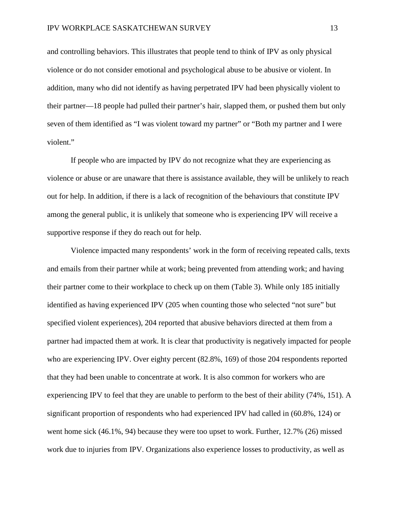and controlling behaviors. This illustrates that people tend to think of IPV as only physical violence or do not consider emotional and psychological abuse to be abusive or violent. In addition, many who did not identify as having perpetrated IPV had been physically violent to their partner—18 people had pulled their partner's hair, slapped them, or pushed them but only seven of them identified as "I was violent toward my partner" or "Both my partner and I were violent."

If people who are impacted by IPV do not recognize what they are experiencing as violence or abuse or are unaware that there is assistance available, they will be unlikely to reach out for help. In addition, if there is a lack of recognition of the behaviours that constitute IPV among the general public, it is unlikely that someone who is experiencing IPV will receive a supportive response if they do reach out for help.

Violence impacted many respondents' work in the form of receiving repeated calls, texts and emails from their partner while at work; being prevented from attending work; and having their partner come to their workplace to check up on them (Table 3). While only 185 initially identified as having experienced IPV (205 when counting those who selected "not sure" but specified violent experiences), 204 reported that abusive behaviors directed at them from a partner had impacted them at work. It is clear that productivity is negatively impacted for people who are experiencing IPV. Over eighty percent (82.8%, 169) of those 204 respondents reported that they had been unable to concentrate at work. It is also common for workers who are experiencing IPV to feel that they are unable to perform to the best of their ability (74%, 151). A significant proportion of respondents who had experienced IPV had called in (60.8%, 124) or went home sick (46.1%, 94) because they were too upset to work. Further, 12.7% (26) missed work due to injuries from IPV. Organizations also experience losses to productivity, as well as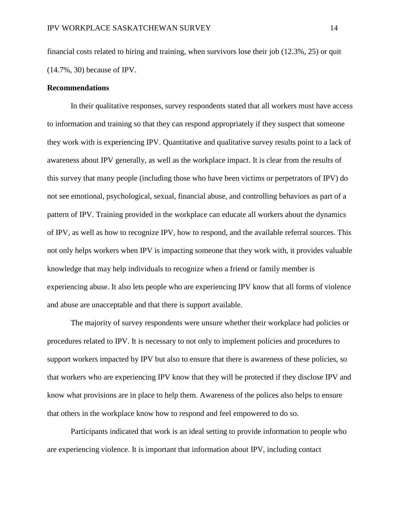financial costs related to hiring and training, when survivors lose their job (12.3%, 25) or quit (14.7%, 30) because of IPV.

# **Recommendations**

In their qualitative responses, survey respondents stated that all workers must have access to information and training so that they can respond appropriately if they suspect that someone they work with is experiencing IPV. Quantitative and qualitative survey results point to a lack of awareness about IPV generally, as well as the workplace impact. It is clear from the results of this survey that many people (including those who have been victims or perpetrators of IPV) do not see emotional, psychological, sexual, financial abuse, and controlling behaviors as part of a pattern of IPV. Training provided in the workplace can educate all workers about the dynamics of IPV, as well as how to recognize IPV, how to respond, and the available referral sources. This not only helps workers when IPV is impacting someone that they work with, it provides valuable knowledge that may help individuals to recognize when a friend or family member is experiencing abuse. It also lets people who are experiencing IPV know that all forms of violence and abuse are unacceptable and that there is support available.

The majority of survey respondents were unsure whether their workplace had policies or procedures related to IPV. It is necessary to not only to implement policies and procedures to support workers impacted by IPV but also to ensure that there is awareness of these policies, so that workers who are experiencing IPV know that they will be protected if they disclose IPV and know what provisions are in place to help them. Awareness of the polices also helps to ensure that others in the workplace know how to respond and feel empowered to do so.

Participants indicated that work is an ideal setting to provide information to people who are experiencing violence. It is important that information about IPV, including contact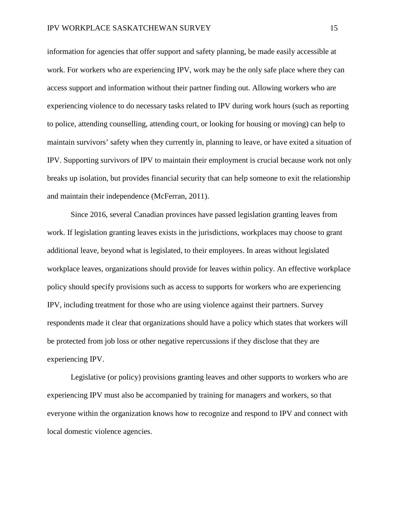information for agencies that offer support and safety planning, be made easily accessible at work. For workers who are experiencing IPV, work may be the only safe place where they can access support and information without their partner finding out. Allowing workers who are experiencing violence to do necessary tasks related to IPV during work hours (such as reporting to police, attending counselling, attending court, or looking for housing or moving) can help to maintain survivors' safety when they currently in, planning to leave, or have exited a situation of IPV. Supporting survivors of IPV to maintain their employment is crucial because work not only breaks up isolation, but provides financial security that can help someone to exit the relationship and maintain their independence (McFerran, 2011).

Since 2016, several Canadian provinces have passed legislation granting leaves from work. If legislation granting leaves exists in the jurisdictions, workplaces may choose to grant additional leave, beyond what is legislated, to their employees. In areas without legislated workplace leaves, organizations should provide for leaves within policy. An effective workplace policy should specify provisions such as access to supports for workers who are experiencing IPV, including treatment for those who are using violence against their partners. Survey respondents made it clear that organizations should have a policy which states that workers will be protected from job loss or other negative repercussions if they disclose that they are experiencing IPV.

Legislative (or policy) provisions granting leaves and other supports to workers who are experiencing IPV must also be accompanied by training for managers and workers, so that everyone within the organization knows how to recognize and respond to IPV and connect with local domestic violence agencies.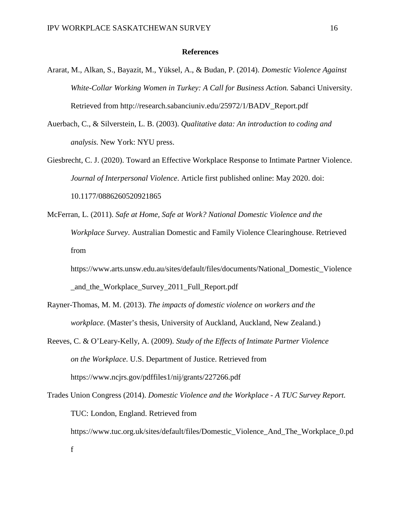## **References**

- Ararat, M., Alkan, S., Bayazit, M., Yüksel, A., & Budan, P. (2014). *Domestic Violence Against White-Collar Working Women in Turkey: A Call for Business Action.* Sabanci University. Retrieved from http://research.sabanciuniv.edu/25972/1/BADV\_Report.pdf
- Auerbach, C., & Silverstein, L. B. (2003). *Qualitative data: An introduction to coding and analysis.* New York: NYU press.
- Giesbrecht, C. J. (2020). Toward an Effective Workplace Response to Intimate Partner Violence. *Journal of Interpersonal Violence*. Article first published online: May 2020. doi: 10.1177/0886260520921865
- McFerran, L. (2011). *Safe at Home, Safe at Work? National Domestic Violence and the Workplace Survey*. Australian Domestic and Family Violence Clearinghouse. Retrieved from

https://www.arts.unsw.edu.au/sites/default/files/documents/National\_Domestic\_Violence \_and\_the\_Workplace\_Survey\_2011\_Full\_Report.pdf

- Rayner-Thomas, M. M. (2013). *The impacts of domestic violence on workers and the workplace.* (Master's thesis, University of Auckland, Auckland, New Zealand.)
- Reeves, C. & O'Leary-Kelly, A. (2009). *Study of the Effects of Intimate Partner Violence on the Workplace*. U.S. Department of Justice. Retrieved from https://www.ncjrs.gov/pdffiles1/nij/grants/227266.pdf
- Trades Union Congress (2014). *Domestic Violence and the Workplace - A TUC Survey Report.*  TUC: London, England. Retrieved from [https://www.tuc.org.uk/sites/default/files/Domestic\\_Violence\\_And\\_The\\_Workplace\\_0.pd](https://www.tuc.org.uk/sites/default/files/Domestic_Violence_And_The_Workplace_0.pdf) [f](https://www.tuc.org.uk/sites/default/files/Domestic_Violence_And_The_Workplace_0.pdf)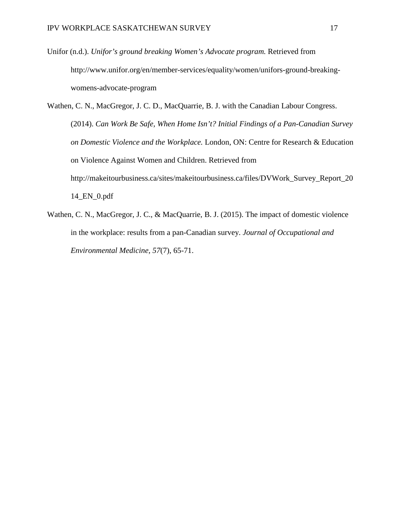- Unifor (n.d.). *Unifor's ground breaking Women's Advocate program.* Retrieved from http://www.unifor.org/en/member-services/equality/women/unifors-ground-breakingwomens-advocate-program
- Wathen, C. N., MacGregor, J. C. D., MacQuarrie, B. J. with the Canadian Labour Congress. (2014). *Can Work Be Safe, When Home Isn't? Initial Findings of a Pan-Canadian Survey on Domestic Violence and the Workplace.* London, ON: Centre for Research & Education on Violence Against Women and Children. Retrieved from http://makeitourbusiness.ca/sites/makeitourbusiness.ca/files/DVWork\_Survey\_Report\_20 14\_EN\_0.pdf
- Wathen, C. N., MacGregor, J. C., & MacQuarrie, B. J. (2015). The impact of domestic violence in the workplace: results from a pan-Canadian survey. *Journal of Occupational and Environmental Medicine, 57*(7), 65-71.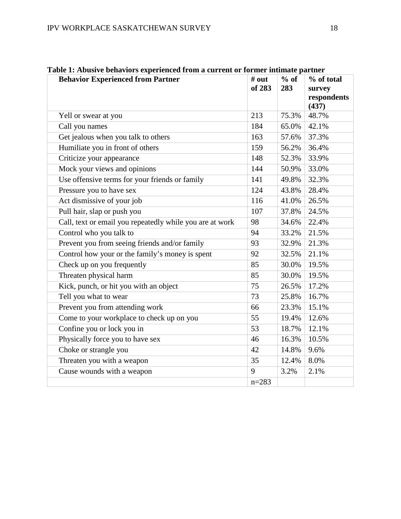| <b>Behavior Experienced from Partner</b>                 | # out     | $%$ of | % of total           |
|----------------------------------------------------------|-----------|--------|----------------------|
|                                                          | of 283    | 283    | survey               |
|                                                          |           |        | respondents<br>(437) |
| Yell or swear at you                                     | 213       | 75.3%  | 48.7%                |
| Call you names                                           | 184       | 65.0%  | 42.1%                |
| Get jealous when you talk to others                      | 163       | 57.6%  | 37.3%                |
| Humiliate you in front of others                         | 159       | 56.2%  | 36.4%                |
| Criticize your appearance                                | 148       | 52.3%  | 33.9%                |
| Mock your views and opinions                             | 144       | 50.9%  | 33.0%                |
| Use offensive terms for your friends or family           | 141       | 49.8%  | 32.3%                |
| Pressure you to have sex                                 | 124       | 43.8%  | 28.4%                |
| Act dismissive of your job                               | 116       | 41.0%  | 26.5%                |
| Pull hair, slap or push you                              | 107       | 37.8%  | 24.5%                |
| Call, text or email you repeatedly while you are at work | 98        | 34.6%  | 22.4%                |
| Control who you talk to                                  | 94        | 33.2%  | 21.5%                |
| Prevent you from seeing friends and/or family            | 93        | 32.9%  | 21.3%                |
| Control how your or the family's money is spent          | 92        | 32.5%  | 21.1%                |
| Check up on you frequently                               | 85        | 30.0%  | 19.5%                |
| Threaten physical harm                                   | 85        | 30.0%  | 19.5%                |
| Kick, punch, or hit you with an object                   | 75        | 26.5%  | 17.2%                |
| Tell you what to wear                                    | 73        | 25.8%  | 16.7%                |
| Prevent you from attending work                          | 66        | 23.3%  | 15.1%                |
| Come to your workplace to check up on you                | 55        | 19.4%  | 12.6%                |
| Confine you or lock you in                               | 53        | 18.7%  | 12.1%                |
| Physically force you to have sex                         | 46        | 16.3%  | 10.5%                |
| Choke or strangle you                                    | 42        | 14.8%  | 9.6%                 |
| Threaten you with a weapon                               | 35        | 12.4%  | 8.0%                 |
| Cause wounds with a weapon                               | 9         | 3.2%   | 2.1%                 |
|                                                          | $n = 283$ |        |                      |

**Table 1: Abusive behaviors experienced from a current or former intimate partner**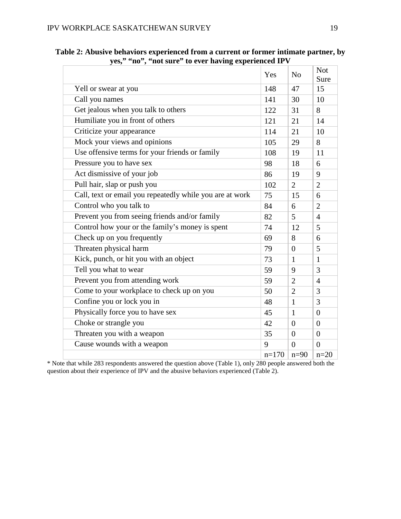|                                                          | Yes     | N <sub>o</sub> | <b>Not</b><br>Sure |
|----------------------------------------------------------|---------|----------------|--------------------|
| Yell or swear at you                                     | 148     | 47             | 15                 |
| Call you names                                           | 141     | 30             | 10                 |
| Get jealous when you talk to others                      | 122     | 31             | 8                  |
| Humiliate you in front of others                         | 121     | 21             | 14                 |
| Criticize your appearance                                | 114     | 21             | 10                 |
| Mock your views and opinions                             | 105     | 29             | 8                  |
| Use offensive terms for your friends or family           | 108     | 19             | 11                 |
| Pressure you to have sex                                 | 98      | 18             | 6                  |
| Act dismissive of your job                               | 86      | 19             | 9                  |
| Pull hair, slap or push you                              | 102     | $\overline{2}$ | $\overline{2}$     |
| Call, text or email you repeatedly while you are at work | 75      | 15             | 6                  |
| Control who you talk to                                  | 84      | 6              | $\overline{2}$     |
| Prevent you from seeing friends and/or family            | 82      | 5              | $\overline{4}$     |
| Control how your or the family's money is spent          | 74      | 12             | 5                  |
| Check up on you frequently                               | 69      | 8              | 6                  |
| Threaten physical harm                                   | 79      | $\overline{0}$ | 5                  |
| Kick, punch, or hit you with an object                   | 73      | $\mathbf{1}$   | $\mathbf{1}$       |
| Tell you what to wear                                    | 59      | 9              | 3                  |
| Prevent you from attending work                          | 59      | $\overline{2}$ | $\overline{4}$     |
| Come to your workplace to check up on you                | 50      | $\overline{2}$ | 3                  |
| Confine you or lock you in                               | 48      | $\mathbf{1}$   | 3                  |
| Physically force you to have sex                         | 45      | $\mathbf{1}$   | $\overline{0}$     |
| Choke or strangle you                                    | 42      | $\overline{0}$ | $\overline{0}$     |
| Threaten you with a weapon                               | 35      | $\theta$       | $\overline{0}$     |
| Cause wounds with a weapon                               | 9       | $\theta$       | $\theta$           |
|                                                          | $n=170$ | $n=90$         | $n=20$             |

**Table 2: Abusive behaviors experienced from a current or former intimate partner, by yes," "no", "not sure" to ever having experienced IPV**

\* Note that while 283 respondents answered the question above (Table 1), only 280 people answered both the question about their experience of IPV and the abusive behaviors experienced (Table 2).